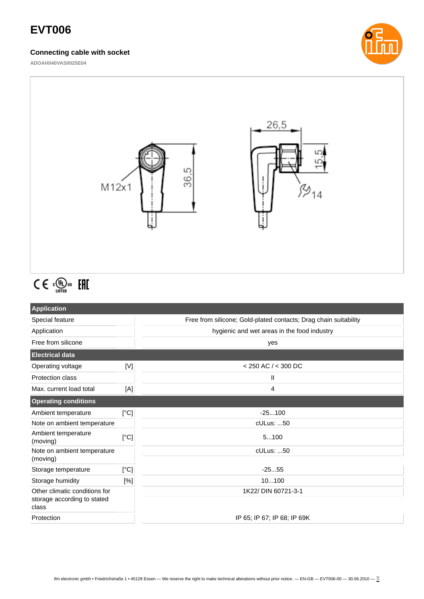# **EVT006**

## **Connecting cable with socket**

**ADOAH040VAS0025E04**





# $C \in \mathbb{C}^{\text{op}}_{\text{LISTED}}$  EHI

| <b>Application</b>                   |      |                                                                  |
|--------------------------------------|------|------------------------------------------------------------------|
| Special feature                      |      | Free from silicone; Gold-plated contacts; Drag chain suitability |
| Application                          |      | hygienic and wet areas in the food industry                      |
| Free from silicone                   |      | yes                                                              |
| <b>Electrical data</b>               |      |                                                                  |
| Operating voltage                    | [V]  | $<$ 250 AC $/$ < 300 DC                                          |
| <b>Protection class</b>              |      | Ш                                                                |
| Max. current load total              | [A]  | 4                                                                |
| <b>Operating conditions</b>          |      |                                                                  |
| Ambient temperature                  | [°C] | $-25100$                                                         |
| Note on ambient temperature          |      | cULus: 50                                                        |
| Ambient temperature<br>(moving)      | [°C] | 5100                                                             |
| Note on ambient temperature          |      | cULus: 50                                                        |
| (moving)                             |      |                                                                  |
| Storage temperature                  | [°C] | $-2555$                                                          |
| Storage humidity                     | [%]  | 10100                                                            |
| Other climatic conditions for        |      | 1K22/ DIN 60721-3-1                                              |
| storage according to stated<br>class |      |                                                                  |
| Protection                           |      | IP 65; IP 67; IP 68; IP 69K                                      |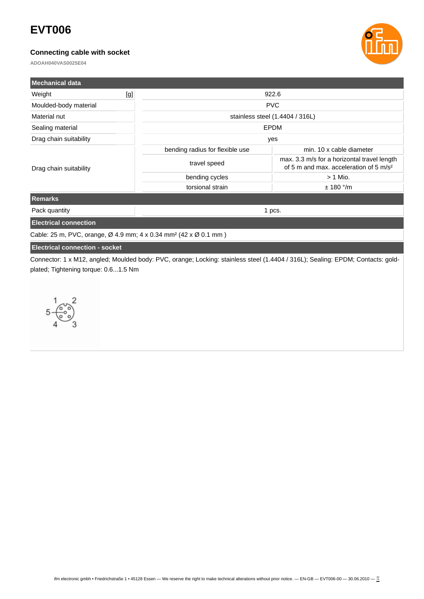## **EVT006**

### **Connecting cable with socket**

**ADOAH040VAS0025E04**



| l Mechanical data            |     |                                 |                                                                                                   |  |
|------------------------------|-----|---------------------------------|---------------------------------------------------------------------------------------------------|--|
| Weight                       | [g] | 922.6                           |                                                                                                   |  |
| Moulded-body material        |     |                                 | <b>PVC</b>                                                                                        |  |
| Material nut                 |     | stainless steel (1.4404 / 316L) |                                                                                                   |  |
| Sealing material             |     |                                 | <b>EPDM</b>                                                                                       |  |
| Drag chain suitability       |     | yes                             |                                                                                                   |  |
| Drag chain suitability       |     | bending radius for flexible use | min. 10 x cable diameter                                                                          |  |
|                              |     | travel speed                    | max. 3.3 m/s for a horizontal travel length<br>of 5 m and max. acceleration of 5 m/s <sup>2</sup> |  |
|                              |     | bending cycles                  | $> 1$ Mio.                                                                                        |  |
|                              |     | torsional strain                | $± 180$ °/m                                                                                       |  |
| <b>Remarks</b>               |     |                                 |                                                                                                   |  |
| Pack quantity                |     | 1 pcs.                          |                                                                                                   |  |
| <b>Electrical connection</b> |     |                                 |                                                                                                   |  |

Cable: 25 m, PVC, orange, Ø 4.9 mm; 4 x 0.34 mm² (42 x Ø 0.1 mm )

#### **Electrical connection - socket**

Connector: 1 x M12, angled; Moulded body: PVC, orange; Locking: stainless steel (1.4404 / 316L); Sealing: EPDM; Contacts: goldplated; Tightening torque: 0.6...1.5 Nm